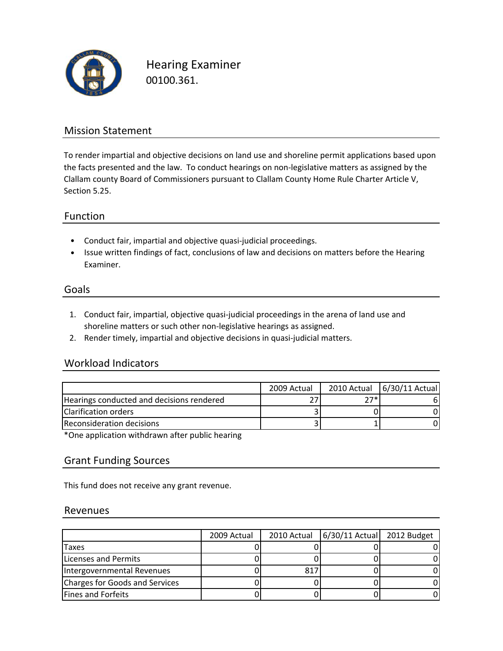

Hearing Examiner 00100.361.

## Mission Statement

To render impartial and objective decisions on land use and shoreline permit applications based upon the facts presented and the law. To conduct hearings on non-legislative matters as assigned by the Clallam county Board of Commissioners pursuant to Clallam County Home Rule Charter Article V, Section 5.25.

#### Function

- Conduct fair, impartial and objective quasi‐judicial proceedings.
- Issue written findings of fact, conclusions of law and decisions on matters before the Hearing Examiner.

#### Goals

- 1. Conduct fair, impartial, objective quasi‐judicial proceedings in the arena of land use and shoreline matters or such other non-legislative hearings as assigned.
- 2. Render timely, impartial and objective decisions in quasi‐judicial matters.

### Workload Indicators

|                                           | 2009 Actual |       | 2010 Actual 6/30/11 Actual |
|-------------------------------------------|-------------|-------|----------------------------|
| Hearings conducted and decisions rendered |             | $77*$ | 6                          |
| Clarification orders                      |             |       |                            |
| Reconsideration decisions                 |             |       |                            |
|                                           |             |       |                            |

\*One application withdrawn after public hearing

### Grant Funding Sources

This fund does not receive any grant revenue.

#### Revenues

|                                | 2009 Actual | 2010 Actual | 6/30/11 Actual 2012 Budget |  |
|--------------------------------|-------------|-------------|----------------------------|--|
| Taxes                          |             |             |                            |  |
| <b>Licenses and Permits</b>    |             |             |                            |  |
| Intergovernmental Revenues     |             | 817         |                            |  |
| Charges for Goods and Services |             |             |                            |  |
| <b>Fines and Forfeits</b>      |             |             |                            |  |